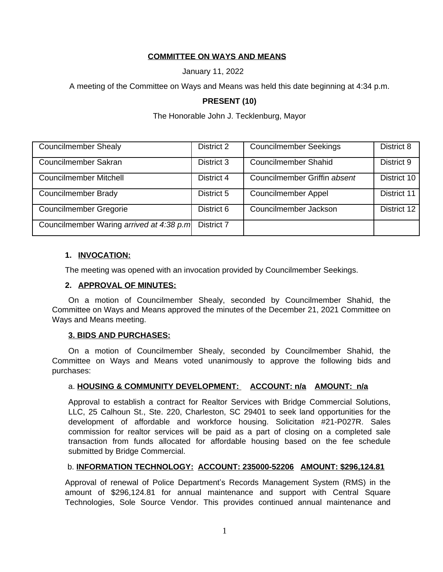# **COMMITTEE ON WAYS AND MEANS**

January 11, 2022

A meeting of the Committee on Ways and Means was held this date beginning at 4:34 p.m.

# **PRESENT (10)**

#### The Honorable John J. Tecklenburg, Mayor

| <b>Councilmember Shealy</b>              | District 2 | <b>Councilmember Seekings</b> | District 8  |
|------------------------------------------|------------|-------------------------------|-------------|
| Councilmember Sakran                     | District 3 | <b>Councilmember Shahid</b>   | District 9  |
| <b>Councilmember Mitchell</b>            | District 4 | Councilmember Griffin absent  | District 10 |
| <b>Councilmember Brady</b>               | District 5 | <b>Councilmember Appel</b>    | District 11 |
| <b>Councilmember Gregorie</b>            | District 6 | Councilmember Jackson         | District 12 |
| Councilmember Waring arrived at 4:38 p.m | District 7 |                               |             |

# **1. INVOCATION:**

The meeting was opened with an invocation provided by Councilmember Seekings.

#### **2. APPROVAL OF MINUTES:**

On a motion of Councilmember Shealy, seconded by Councilmember Shahid, the Committee on Ways and Means approved the minutes of the December 21, 2021 Committee on Ways and Means meeting.

#### **3. BIDS AND PURCHASES:**

On a motion of Councilmember Shealy, seconded by Councilmember Shahid, the Committee on Ways and Means voted unanimously to approve the following bids and purchases:

# a. **HOUSING & COMMUNITY DEVELOPMENT: ACCOUNT: n/a AMOUNT: n/a**

Approval to establish a contract for Realtor Services with Bridge Commercial Solutions, LLC, 25 Calhoun St., Ste. 220, Charleston, SC 29401 to seek land opportunities for the development of affordable and workforce housing. Solicitation #21-P027R. Sales commission for realtor services will be paid as a part of closing on a completed sale transaction from funds allocated for affordable housing based on the fee schedule submitted by Bridge Commercial.

# b. **INFORMATION TECHNOLOGY: ACCOUNT: 235000-52206 AMOUNT: \$296,124.81**

Approval of renewal of Police Department's Records Management System (RMS) in the amount of \$296,124.81 for annual maintenance and support with Central Square Technologies, Sole Source Vendor. This provides continued annual maintenance and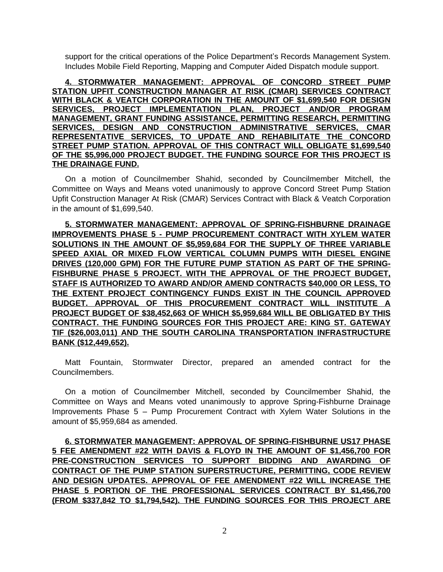support for the critical operations of the Police Department's Records Management System. Includes Mobile Field Reporting, Mapping and Computer Aided Dispatch module support.

**4. STORMWATER MANAGEMENT: APPROVAL OF CONCORD STREET PUMP STATION UPFIT CONSTRUCTION MANAGER AT RISK (CMAR) SERVICES CONTRACT WITH BLACK & VEATCH CORPORATION IN THE AMOUNT OF \$1,699,540 FOR DESIGN SERVICES, PROJECT IMPLEMENTATION PLAN, PROJECT AND/OR PROGRAM MANAGEMENT, GRANT FUNDING ASSISTANCE, PERMITTING RESEARCH, PERMITTING SERVICES, DESIGN AND CONSTRUCTION ADMINISTRATIVE SERVICES, CMAR REPRESENTATIVE SERVICES, TO UPDATE AND REHABILITATE THE CONCORD STREET PUMP STATION. APPROVAL OF THIS CONTRACT WILL OBLIGATE \$1,699,540 OF THE \$5,996,000 PROJECT BUDGET. THE FUNDING SOURCE FOR THIS PROJECT IS THE DRAINAGE FUND.**

On a motion of Councilmember Shahid, seconded by Councilmember Mitchell, the Committee on Ways and Means voted unanimously to approve Concord Street Pump Station Upfit Construction Manager At Risk (CMAR) Services Contract with Black & Veatch Corporation in the amount of \$1,699,540.

**5. STORMWATER MANAGEMENT: APPROVAL OF SPRING-FISHBURNE DRAINAGE IMPROVEMENTS PHASE 5 - PUMP PROCUREMENT CONTRACT WITH XYLEM WATER SOLUTIONS IN THE AMOUNT OF \$5,959,684 FOR THE SUPPLY OF THREE VARIABLE SPEED AXIAL OR MIXED FLOW VERTICAL COLUMN PUMPS WITH DIESEL ENGINE DRIVES (120,000 GPM) FOR THE FUTURE PUMP STATION AS PART OF THE SPRING-FISHBURNE PHASE 5 PROJECT. WITH THE APPROVAL OF THE PROJECT BUDGET, STAFF IS AUTHORIZED TO AWARD AND/OR AMEND CONTRACTS \$40,000 OR LESS, TO THE EXTENT PROJECT CONTINGENCY FUNDS EXIST IN THE COUNCIL APPROVED BUDGET. APPROVAL OF THIS PROCUREMENT CONTRACT WILL INSTITUTE A PROJECT BUDGET OF \$38,452,663 OF WHICH \$5,959,684 WILL BE OBLIGATED BY THIS CONTRACT. THE FUNDING SOURCES FOR THIS PROJECT ARE: KING ST. GATEWAY TIF (\$26,003,011) AND THE SOUTH CAROLINA TRANSPORTATION INFRASTRUCTURE BANK (\$12,449,652).**

Matt Fountain, Stormwater Director, prepared an amended contract for the Councilmembers.

On a motion of Councilmember Mitchell, seconded by Councilmember Shahid, the Committee on Ways and Means voted unanimously to approve Spring-Fishburne Drainage Improvements Phase 5 – Pump Procurement Contract with Xylem Water Solutions in the amount of \$5,959,684 as amended.

**6. STORMWATER MANAGEMENT: APPROVAL OF SPRING-FISHBURNE US17 PHASE 5 FEE AMENDMENT #22 WITH DAVIS & FLOYD IN THE AMOUNT OF \$1,456,700 FOR PRE-CONSTRUCTION SERVICES TO SUPPORT BIDDING AND AWARDING OF CONTRACT OF THE PUMP STATION SUPERSTRUCTURE, PERMITTING, CODE REVIEW AND DESIGN UPDATES. APPROVAL OF FEE AMENDMENT #22 WILL INCREASE THE PHASE 5 PORTION OF THE PROFESSIONAL SERVICES CONTRACT BY \$1,456,700 (FROM \$337,842 TO \$1,794,542). THE FUNDING SOURCES FOR THIS PROJECT ARE**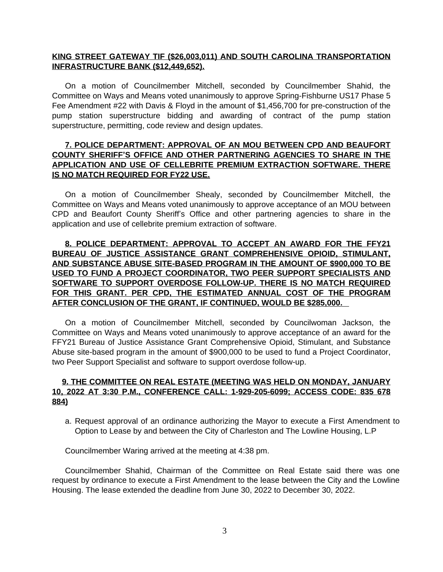#### **KING STREET GATEWAY TIF (\$26,003,011) AND SOUTH CAROLINA TRANSPORTATION INFRASTRUCTURE BANK (\$12,449,652).**

On a motion of Councilmember Mitchell, seconded by Councilmember Shahid, the Committee on Ways and Means voted unanimously to approve Spring-Fishburne US17 Phase 5 Fee Amendment #22 with Davis & Floyd in the amount of \$1,456,700 for pre-construction of the pump station superstructure bidding and awarding of contract of the pump station superstructure, permitting, code review and design updates.

#### **7. POLICE DEPARTMENT: APPROVAL OF AN MOU BETWEEN CPD AND BEAUFORT COUNTY SHERIFF'S OFFICE AND OTHER PARTNERING AGENCIES TO SHARE IN THE APPLICATION AND USE OF CELLEBRITE PREMIUM EXTRACTION SOFTWARE. THERE IS NO MATCH REQUIRED FOR FY22 USE.**

On a motion of Councilmember Shealy, seconded by Councilmember Mitchell, the Committee on Ways and Means voted unanimously to approve acceptance of an MOU between CPD and Beaufort County Sheriff's Office and other partnering agencies to share in the application and use of cellebrite premium extraction of software.

# **8. POLICE DEPARTMENT: APPROVAL TO ACCEPT AN AWARD FOR THE FFY21 BUREAU OF JUSTICE ASSISTANCE GRANT COMPREHENSIVE OPIOID, STIMULANT, AND SUBSTANCE ABUSE SITE-BASED PROGRAM IN THE AMOUNT OF \$900,000 TO BE USED TO FUND A PROJECT COORDINATOR, TWO PEER SUPPORT SPECIALISTS AND SOFTWARE TO SUPPORT OVERDOSE FOLLOW-UP. THERE IS NO MATCH REQUIRED FOR THIS GRANT. PER CPD, THE ESTIMATED ANNUAL COST OF THE PROGRAM AFTER CONCLUSION OF THE GRANT, IF CONTINUED, WOULD BE \$285,000.**

On a motion of Councilmember Mitchell, seconded by Councilwoman Jackson, the Committee on Ways and Means voted unanimously to approve acceptance of an award for the FFY21 Bureau of Justice Assistance Grant Comprehensive Opioid, Stimulant, and Substance Abuse site-based program in the amount of \$900,000 to be used to fund a Project Coordinator, two Peer Support Specialist and software to support overdose follow-up.

# **9. THE COMMITTEE ON REAL ESTATE (MEETING WAS HELD ON MONDAY, JANUARY 10, 2022 AT 3:30 P.M., CONFERENCE CALL: 1-929-205-6099; ACCESS CODE: 835 678 884)**

a. Request approval of an ordinance authorizing the Mayor to execute a First Amendment to Option to Lease by and between the City of Charleston and The Lowline Housing, L.P

Councilmember Waring arrived at the meeting at 4:38 pm.

Councilmember Shahid, Chairman of the Committee on Real Estate said there was one request by ordinance to execute a First Amendment to the lease between the City and the Lowline Housing. The lease extended the deadline from June 30, 2022 to December 30, 2022.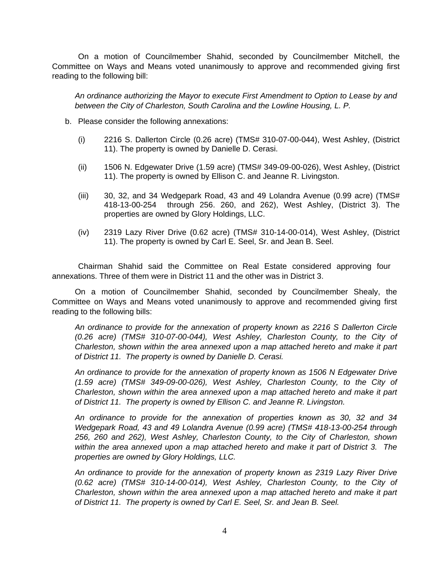On a motion of Councilmember Shahid, seconded by Councilmember Mitchell, the Committee on Ways and Means voted unanimously to approve and recommended giving first reading to the following bill:

*An ordinance authorizing the Mayor to execute First Amendment to Option to Lease by and between the City of Charleston, South Carolina and the Lowline Housing, L. P.*

- b. Please consider the following annexations:
	- (i) 2216 S. Dallerton Circle (0.26 acre) (TMS# 310-07-00-044), West Ashley, (District 11). The property is owned by Danielle D. Cerasi.
	- (ii) 1506 N. Edgewater Drive (1.59 acre) (TMS# 349-09-00-026), West Ashley, (District 11). The property is owned by Ellison C. and Jeanne R. Livingston.
	- $(iii)$  30, 32, and 34 Wedgepark Road, 43 and 49 Lolandra Avenue (0.99 acre) (TMS# 418-13-00-254 through 256. 260, and 262), West Ashley, (District 3). The properties are owned by Glory Holdings, LLC.
	- (iv) 2319 Lazy River Drive (0.62 acre) (TMS# 310-14-00-014), West Ashley, (District 11). The property is owned by Carl E. Seel, Sr. and Jean B. Seel.

Chairman Shahid said the Committee on Real Estate considered approving four annexations. Three of them were in District 11 and the other was in District 3.

On a motion of Councilmember Shahid, seconded by Councilmember Shealy, the Committee on Ways and Means voted unanimously to approve and recommended giving first reading to the following bills:

*An ordinance to provide for the annexation of property known as 2216 S Dallerton Circle (0.26 acre) (TMS# 310-07-00-044), West Ashley, Charleston County, to the City of Charleston, shown within the area annexed upon a map attached hereto and make it part of District 11. The property is owned by Danielle D. Cerasi.*

*An ordinance to provide for the annexation of property known as 1506 N Edgewater Drive (1.59 acre) (TMS# 349-09-00-026), West Ashley, Charleston County, to the City of Charleston, shown within the area annexed upon a map attached hereto and make it part of District 11. The property is owned by Ellison C. and Jeanne R. Livingston.*

*An ordinance to provide for the annexation of properties known as 30, 32 and 34 Wedgepark Road, 43 and 49 Lolandra Avenue (0.99 acre) (TMS# 418-13-00-254 through 256, 260 and 262), West Ashley, Charleston County, to the City of Charleston, shown within the area annexed upon a map attached hereto and make it part of District 3. The properties are owned by Glory Holdings, LLC.*

*An ordinance to provide for the annexation of property known as 2319 Lazy River Drive (0.62 acre) (TMS# 310-14-00-014), West Ashley, Charleston County, to the City of Charleston, shown within the area annexed upon a map attached hereto and make it part of District 11. The property is owned by Carl E. Seel, Sr. and Jean B. Seel.*